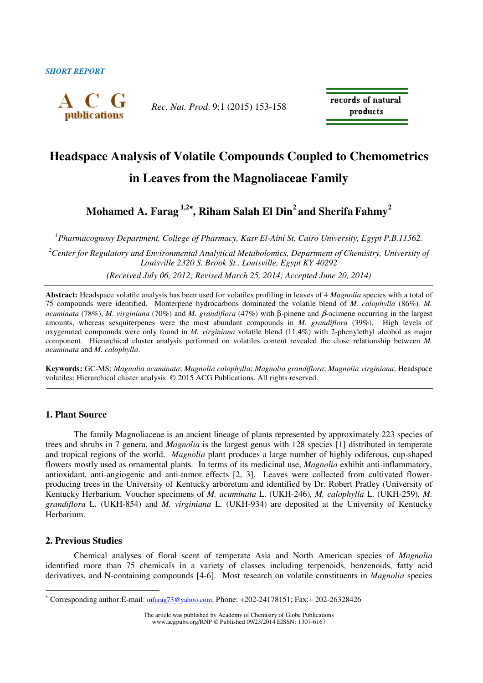

*Rec. Nat. Prod*. 9:1 (2015) 153-158

records of natural products

# **Headspace Analysis of Volatile Compounds Coupled to Chemometrics in Leaves from the Magnoliaceae Family**

**Mohamed A. Farag 1,2**<sup>∗</sup>**, Riham Salah El Din<sup>2</sup>and Sherifa Fahmy<sup>2</sup>**

*<sup>1</sup>Pharmacognosy Department, College of Pharmacy, Kasr El-Aini St, Cairo University, Egypt P.B.11562.* 

*<sup>2</sup>Center for Regulatory and Environmental Analytical Metabolomics, Department of Chemistry, University of Louisville 2320 S. Brook St., Louisville, Egypt KY 40292* 

*(Received July 06, 2012; Revised March 25, 2014; Accepted June 20, 2014)* 

**Abstract:** Headspace volatile analysis has been used for volatiles profiling in leaves of 4 *Magnolia* species with a total of 75 compounds were identified. Monterpene hydrocarbons dominated the volatile blend of *M. calophylla* (86%)*, M. acuminata* (78%), *M. virginiana* (70%) and *M. grandiflora* (47%) with β-pinene and β-ocimene occurring in the largest amounts, whereas sesquiterpenes were the most abundant compounds in *M. grandiflora* (39%).High levels of oxygenated compounds were only found in *M. virginiana* volatile blend (11.4%) with 2-phenylethyl alcohol as major component. Hierarchical cluster analysis performed on volatiles content revealed the close relationship between *M. acuminata* and *M. calophylla*.

**Keywords:** GC-MS; *Magnolia acuminata*; *Magnolia calophylla*; *Magnolia grandiflora*; *Magnolia virginiana*; Headspace volatiles; Hierarchical cluster analysis. © 2015 ACG Publications. All rights reserved.

## **1. Plant Source**

The family Magnoliaceae is an ancient lineage of plants represented by approximately 223 species of trees and shrubs in 7 genera, and *Magnolia* is the largest genus with 128 species [1] distributed in temperate and tropical regions of the world. *Magnolia* plant produces a large number of highly odiferous, cup-shaped flowers mostly used as ornamental plants. In terms of its medicinal use, *Magnolia* exhibit anti-inflammatory, antioxidant, anti-angiogenic and anti-tumor effects [2, 3]. Leaves were collected from cultivated flowerproducing trees in the University of Kentucky arboretum and identified by Dr. Robert Pratley (University of Kentucky Herbarium. Voucher specimens of *M. acuminata* L. (UKH-246)*, M. calophylla* L. (UKH-259)*, M. grandiflora* L*.* (UKH-854) and *M. virginiana* L*.* (UKH-934) are deposited at the University of Kentucky Herbarium.

#### **2. Previous Studies**

 $\overline{a}$ 

Chemical analyses of floral scent of temperate Asia and North American species of *Magnolia* identified more than 75 chemicals in a variety of classes including terpenoids, benzenoids, fatty acid derivatives, and N-containing compounds [4-6]. Most research on volatile constituents in *Magnolia* species

<sup>∗</sup> Corresponding author:E-mail: mfarag73@yahoo.com; Phone: +202-24178151; Fax:+ 202-26328426

The article was published by Academy of Chemistry of Globe Publications www.acgpubs.org/RNP © Published 09/23/2014 EISSN: 1307-6167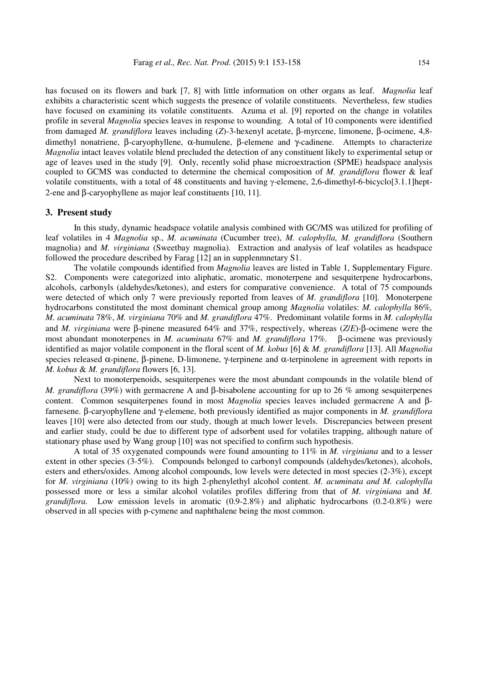has focused on its flowers and bark [7, 8] with little information on other organs as leaf. *Magnolia* leaf exhibits a characteristic scent which suggests the presence of volatile constituents. Nevertheless, few studies have focused on examining its volatile constituents. Azuma et al. [9] reported on the change in volatiles profile in several *Magnolia* species leaves in response to wounding. A total of 10 components were identified from damaged *M. grandiflora* leaves including (*Z*)-3-hexenyl acetate, β-myrcene, limonene, β-ocimene, 4,8 dimethyl nonatriene, β-caryophyllene, α-humulene, β-elemene and γ-cadinene. Attempts to characterize *Magnolia* intact leaves volatile blend precluded the detection of any constituent likely to experimental setup or age of leaves used in the study [9]. Only, recently solid phase microextraction (SPME) headspace analysis coupled to GCMS was conducted to determine the chemical composition of *M. grandiflora* flower & leaf volatile constituents, with a total of 48 constituents and having γ-elemene, 2,6-dimethyl-6-bicyclo[3.1.1]hept-2-ene and β-caryophyllene as major leaf constituents [10, 11].

#### **3. Present study**

In this study, dynamic headspace volatile analysis combined with GC/MS was utilized for profiling of leaf volatiles in 4 *Magnolia* sp., *M. acuminata* (Cucumber tree), *M. calophylla, M. grandiflora* (Southern magnolia) and *M. virginiana* (Sweetbay magnolia). Extraction and analysis of leaf volatiles as headspace followed the procedure described by Farag [12] an in supplenmnetary S1.

The volatile compounds identified from *Magnolia* leaves are listed in Table 1, Supplementary Figure. S2. Components were categorized into aliphatic, aromatic, monoterpene and sesquiterpene hydrocarbons, alcohols, carbonyls (aldehydes/ketones), and esters for comparative convenience. A total of 75 compounds were detected of which only 7 were previously reported from leaves of *M. grandiflora* [10]. Monoterpene hydrocarbons constituted the most dominant chemical group among *Magnolia* volatiles: *M. calophylla* 86%*, M. acuminata* 78%, *M. virginiana* 70% and *M. grandiflora* 47%. Predominant volatile forms in *M. calophylla*  and *M. virginiana* were β-pinene measured 64% and 37%, respectively, whereas (*Z*/*E*)-β-ocimene were the most abundant monoterpenes in *M. acuminata* 67% and *M. grandiflora* 17%*.* β-ocimene was previously identified as major volatile component in the floral scent of *M. kobus* [6] & *M. grandiflora* [13]. All *Magnolia* species released α-pinene, β-pinene, D-limonene, γ-terpinene and α-terpinolene in agreement with reports in *M. kobus* & *M. grandiflora* flowers [6, 13].

Next to monoterpenoids, sesquiterpenes were the most abundant compounds in the volatile blend of *M. grandiflora* (39%) with germacrene A and β-bisabolene accounting for up to 26 % among sesquiterpenes content. Common sesquiterpenes found in most *Magnolia* species leaves included germacrene A and βfarnesene. β-caryophyllene and γ-elemene, both previously identified as major components in *M. grandiflora* leaves [10] were also detected from our study, though at much lower levels. Discrepancies between present and earlier study, could be due to different type of adsorbent used for volatiles trapping, although nature of stationary phase used by Wang group [10] was not specified to confirm such hypothesis.

A total of 35 oxygenated compounds were found amounting to 11% in *M. virginiana* and to a lesser extent in other species (3-5%). Compounds belonged to carbonyl compounds (aldehydes/ketones), alcohols, esters and ethers/oxides. Among alcohol compounds, low levels were detected in most species (2-3%), except for *M. virginiana* (10%) owing to its high 2-phenylethyl alcohol content. *M. acuminata and M. calophylla*  possessed more or less a similar alcohol volatiles profiles differing from that of *M. virginiana* and *M. grandiflora.* Low emission levels in aromatic (0.9-2.8%) and aliphatic hydrocarbons (0.2-0.8%) were observed in all species with p-cymene and naphthalene being the most common.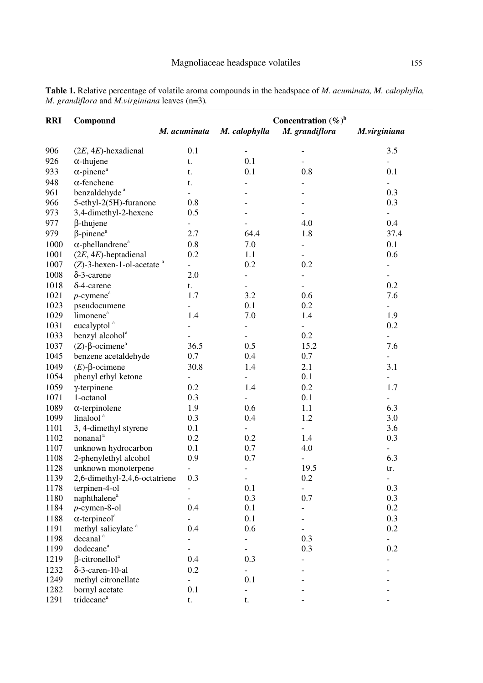| <b>RRI</b> | Compound                                 |                          | Concentration $(\%)^b$   |                          |                          |  |  |  |
|------------|------------------------------------------|--------------------------|--------------------------|--------------------------|--------------------------|--|--|--|
|            |                                          | M. acuminata             | M. calophylla            | M. grandiflora           | M.virginiana             |  |  |  |
| 906        | $(2E, 4E)$ -hexadienal                   | 0.1                      |                          |                          | 3.5                      |  |  |  |
| 926        | $\alpha$ -thujene                        | t.                       | 0.1                      |                          |                          |  |  |  |
| 933        | $\alpha$ -pinene <sup>a</sup>            | t.                       | 0.1                      | 0.8                      | 0.1                      |  |  |  |
| 948        | $\alpha$ -fenchene                       | t.                       |                          |                          |                          |  |  |  |
| 961        | benzaldehyde <sup>a</sup>                |                          |                          |                          | 0.3                      |  |  |  |
| 966        | 5-ethyl-2(5H)-furanone                   | 0.8                      |                          |                          | 0.3                      |  |  |  |
| 973        | 3,4-dimethyl-2-hexene                    | 0.5                      |                          |                          | $\overline{\phantom{0}}$ |  |  |  |
| 977        | $\beta$ -thujene                         |                          |                          | 4.0                      | 0.4                      |  |  |  |
| 979        | $\beta$ -pinene <sup>a</sup>             | 2.7                      | 64.4                     | 1.8                      | 37.4                     |  |  |  |
| 1000       | $\alpha$ -phellandrene <sup>a</sup>      | 0.8                      | 7.0                      | $\overline{\phantom{0}}$ | 0.1                      |  |  |  |
| 1001       | $(2E, 4E)$ -heptadienal                  | 0.2                      | 1.1                      |                          | 0.6                      |  |  |  |
| 1007       | $(Z)$ -3-hexen-1-ol-acetate <sup>a</sup> |                          | 0.2                      | 0.2                      |                          |  |  |  |
| 1008       | $\delta$ -3-carene                       | 2.0                      |                          |                          |                          |  |  |  |
| 1018       | $\delta$ -4-carene                       | t.                       |                          |                          | 0.2                      |  |  |  |
| 1021       | $p$ -cymene <sup>a</sup>                 | 1.7                      | 3.2                      | 0.6                      | 7.6                      |  |  |  |
| 1023       | pseudocumene                             |                          | 0.1                      | 0.2                      | $\overline{\phantom{0}}$ |  |  |  |
| 1029       | limonene <sup>a</sup>                    | 1.4                      | 7.0                      | 1.4                      | 1.9                      |  |  |  |
| 1031       | eucalyptol <sup>a</sup>                  |                          |                          | $\overline{\phantom{0}}$ | 0.2                      |  |  |  |
| 1033       | benzyl alcohol <sup>a</sup>              |                          |                          | 0.2                      | $\overline{\phantom{0}}$ |  |  |  |
| 1037       | $(Z)$ -β-ocimene <sup>a</sup>            | 36.5                     | 0.5                      | 15.2                     | 7.6                      |  |  |  |
| 1045       | benzene acetaldehyde                     | 0.7                      | 0.4                      | 0.7                      | $\overline{\phantom{0}}$ |  |  |  |
|            |                                          |                          |                          |                          |                          |  |  |  |
| 1049       | $(E)$ -β-ocimene                         | 30.8                     | 1.4                      | 2.1                      | 3.1                      |  |  |  |
| 1054       | phenyl ethyl ketone                      |                          | $\overline{\phantom{0}}$ | 0.1                      |                          |  |  |  |
| 1059       | $\gamma$ -terpinene                      | 0.2                      | 1.4                      | 0.2                      | 1.7                      |  |  |  |
| 1071       | 1-octanol                                | 0.3                      | $\overline{\phantom{0}}$ | 0.1                      | $\overline{\phantom{0}}$ |  |  |  |
| 1089       | $\alpha$ -terpinolene                    | 1.9                      | 0.6                      | 1.1                      | 6.3                      |  |  |  |
| 1099       | linalool <sup>a</sup>                    | 0.3                      | 0.4                      | 1.2                      | 3.0                      |  |  |  |
| 1101       | 3, 4-dimethyl styrene                    | 0.1                      |                          |                          | 3.6                      |  |  |  |
| 1102       | nonanal <sup>a</sup>                     | 0.2                      | 0.2                      | 1.4                      | 0.3                      |  |  |  |
| 1107       | unknown hydrocarbon                      | 0.1                      | 0.7                      | 4.0                      |                          |  |  |  |
| 1108       | 2-phenylethyl alcohol                    | 0.9                      | 0.7                      |                          | 6.3                      |  |  |  |
| 1128       | unknown monoterpene                      |                          |                          | 19.5                     | tr.                      |  |  |  |
| 1139       | 2,6-dimethyl-2,4,6-octatriene            | 0.3                      |                          | 0.2                      | -                        |  |  |  |
| 1178       | terpinen-4-ol                            |                          | 0.1                      | $\overline{\phantom{0}}$ | 0.3                      |  |  |  |
| 1180       | naphthalene <sup>a</sup>                 | $\overline{\phantom{a}}$ | 0.3                      | 0.7                      | 0.3                      |  |  |  |
| 1184       | $p$ -cymen-8-ol                          | 0.4                      | 0.1                      |                          | 0.2                      |  |  |  |
| 1188       | $\alpha$ -terpineol <sup>a</sup>         | $\overline{\phantom{0}}$ | 0.1                      |                          | 0.3                      |  |  |  |
| 1191       | methyl salicylate <sup>a</sup>           | 0.4                      | 0.6                      |                          | 0.2                      |  |  |  |
| 1198       | decanal <sup>a</sup>                     | $\overline{\phantom{0}}$ |                          | 0.3                      | $\blacksquare$           |  |  |  |
| 1199       | dodecane <sup>a</sup>                    | $\overline{\phantom{a}}$ | $\overline{\phantom{0}}$ | 0.3                      | 0.2                      |  |  |  |
| 1219       | $\beta$ -citronellol <sup>a</sup>        | 0.4                      | 0.3                      |                          |                          |  |  |  |
| 1232       | $\delta$ -3-caren-10-al                  | 0.2                      | $\overline{\phantom{0}}$ |                          |                          |  |  |  |
| 1249       | methyl citronellate                      | $\frac{1}{2}$            | 0.1                      |                          |                          |  |  |  |
| 1282       | bornyl acetate                           | 0.1                      |                          |                          |                          |  |  |  |
| 1291       | tridecane <sup>a</sup>                   | t.                       | t.                       |                          |                          |  |  |  |

**Table 1.** Relative percentage of volatile aroma compounds in the headspace of *M. acuminata, M. calophylla, M. grandiflora* and *M.virginiana* leaves (n=3)*.*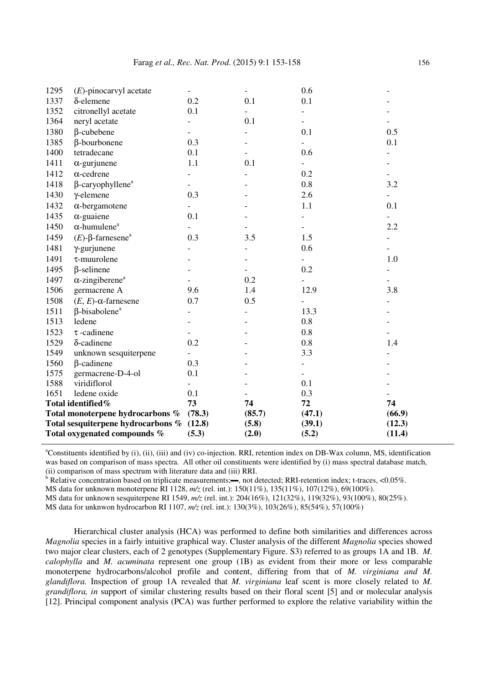| 1295              | $(E)$ -pinocarvyl acetate           | $\overline{a}$ | $\overline{a}$ | 0.6    |        |
|-------------------|-------------------------------------|----------------|----------------|--------|--------|
| 1337              | $\delta$ -elemene                   | 0.2            | 0.1            | 0.1    |        |
| 1352              | citronellyl acetate                 | 0.1            |                |        |        |
| 1364              | neryl acetate                       |                | 0.1            |        |        |
| 1380              | $\beta$ -cubebene                   |                |                | 0.1    | 0.5    |
| 1385              | β-bourbonene                        | 0.3            |                |        | 0.1    |
| 1400              | tetradecane                         | 0.1            |                | 0.6    |        |
| 1411              | $\alpha$ -gurjunene                 | 1.1            | 0.1            |        |        |
| 1412              | $\alpha$ -cedrene                   |                |                | 0.2    |        |
| 1418              | $\beta$ -caryophyllene <sup>a</sup> | $\overline{a}$ |                | 0.8    | 3.2    |
| 1430              | $\gamma$ -elemene                   | 0.3            |                | 2.6    |        |
| 1432              | $\alpha$ -bergamotene               |                |                | 1.1    | 0.1    |
| 1435              | $\alpha$ -guaiene                   | 0.1            |                |        |        |
| 1450              | $\alpha$ -humulene <sup>a</sup>     |                |                |        | 2.2    |
| 1459              | $(E)$ -β-farnesene <sup>a</sup>     | 0.3            | 3.5            | 1.5    |        |
| 1481              | $\gamma$ -gurjunene                 |                |                | 0.6    |        |
| 1491              | $\tau$ -muurolene                   |                |                |        | 1.0    |
| 1495              | $\beta$ -selinene                   |                |                | 0.2    |        |
| 1497              | $\alpha$ -zingiberene <sup>a</sup>  |                | 0.2            |        |        |
| 1506              | germacrene A                        | 9.6            | 1.4            | 12.9   | 3.8    |
| 1508              | $(E, E)$ - $\alpha$ -farnesene      | 0.7            | 0.5            |        |        |
| 1511              | $\beta$ -bisabolene <sup>a</sup>    |                |                | 13.3   |        |
| 1513              | ledene                              |                |                | 0.8    |        |
| 1523              | $\tau$ -cadinene                    |                |                | 0.8    |        |
| 1529              | $\delta$ -cadinene                  | 0.2            |                | 0.8    | 1.4    |
| 1549              | unknown sesquiterpene               |                |                | 3.3    |        |
| 1560              | β-cadinene                          | 0.3            |                |        |        |
| 1575              | germacrene-D-4-ol                   | 0.1            |                |        |        |
| 1588              | viridiflorol                        |                |                | 0.1    |        |
| 1651              | ledene oxide                        | 0.1            |                | 0.3    |        |
| Total identified% |                                     | 73             | 74             | 72     | 74     |
|                   | Total monoterpene hydrocarbons %    | (78.3)         | (85.7)         | (47.1) | (66.9) |
|                   | Total sesquiterpene hydrocarbons %  | (12.8)         | (5.8)          | (39.1) | (12.3) |
|                   | Total oxygenated compounds %        | (5.3)          | (2.0)          | (5.2)  | (11.4) |
|                   |                                     |                |                |        |        |

<sup>a</sup>Constituents identified by (i), (ii), (iii) and (iv) co-injection. RRI, retention index on DB-Wax column, MS, identification was based on comparison of mass spectra. All other oil constituents were identified by (i) mass spectral database match, (ii) comparison of mass spectrum with literature data and (iii) RRI.

b Relative concentration based on triplicate measurements;—, not detected; RRI-retention index; t-traces, <0.05%.

MS data for unknown monoterpene RI 1128, *m/z* (rel. int.): 150(11%), 135(11%), 107(12%), 69(100%).

MS data for unknown sesquiterpene RI 1549, *m/z* (rel. int.): 204(16%), 121(32%), 119(32%), 93(100%), 80(25%).

MS data for unknwon hydrocarbon RI 1107, *m/z* (rel. int.): 130(3%), 103(26%), 85(54%), 57(100%)

Hierarchical cluster analysis (HCA) was performed to define both similarities and differences across *Magnolia* species in a fairly intuitive graphical way. Cluster analysis of the different *Magnolia* species showed two major clear clusters, each of 2 genotypes (Supplementary Figure. S3) referred to as groups 1A and 1B. *M. calophylla* and *M. acuminata* represent one group (1B) as evident from their more or less comparable monoterpene hydrocarbons/alcohol profile and content, differing from that of *M. virginiana and M. glandiflora.* Inspection of group 1A revealed that *M. virginiana* leaf scent is more closely related to *M. grandiflora, in* support of similar clustering results based on their floral scent [5] and or molecular analysis [12]. Principal component analysis (PCA) was further performed to explore the relative variability within the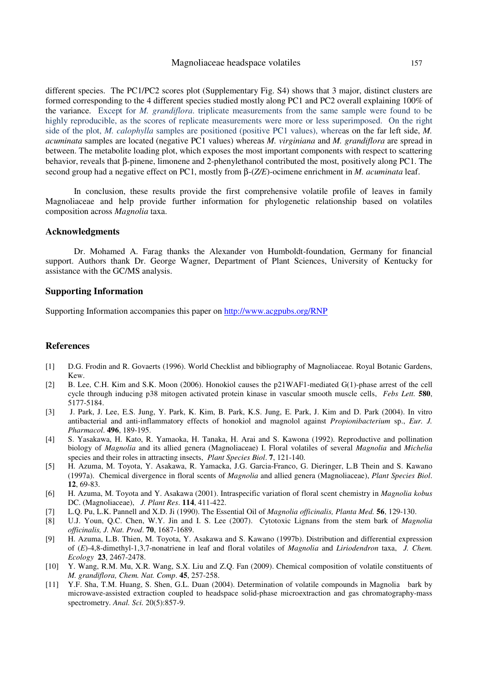#### Magnoliaceae headspace volatiles 157

different species. The PC1/PC2 scores plot (Supplementary Fig. S4) shows that 3 major, distinct clusters are formed corresponding to the 4 different species studied mostly along PC1 and PC2 overall explaining 100% of the variance. Except for *M. grandiflora*. triplicate measurements from the same sample were found to be highly reproducible, as the scores of replicate measurements were more or less superimposed. On the right side of the plot, *M. calophylla* samples are positioned (positive PC1 values), whereas on the far left side, *M. acuminata* samples are located (negative PC1 values) whereas *M. virginiana* and *M. grandiflora* are spread in between. The metabolite loading plot, which exposes the most important components with respect to scattering behavior, reveals that β-pinene, limonene and 2-phenylethanol contributed the most, positively along PC1. The second group had a negative effect on PC1, mostly from β-(*Z/E*)-ocimene enrichment in *M. acuminata* leaf.

In conclusion, these results provide the first comprehensive volatile profile of leaves in family Magnoliaceae and help provide further information for phylogenetic relationship based on volatiles composition across *Magnolia* taxa.

#### **Acknowledgments**

Dr. Mohamed A. Farag thanks the Alexander von Humboldt-foundation, Germany for financial support. Authors thank Dr. George Wagner, Department of Plant Sciences, University of Kentucky for assistance with the GC/MS analysis.

### **Supporting Information**

Supporting Information accompanies this paper on http://www.acgpubs.org/RNP

#### **References**

- [1] D.G. Frodin and R. Govaerts (1996). World Checklist and bibliography of Magnoliaceae. Royal Botanic Gardens, Kew.
- [2] B. Lee, C.H. Kim and S.K. Moon (2006). Honokiol causes the p21WAF1-mediated G(1)-phase arrest of the cell cycle through inducing p38 mitogen activated protein kinase in vascular smooth muscle cells, *Febs Lett.* **580**, 5177-5184.
- [3] J. Park, J. Lee, E.S. Jung, Y. Park, K. Kim, B. Park, K.S. Jung, E. Park, J. Kim and D. Park (2004). In vitro antibacterial and anti-inflammatory effects of honokiol and magnolol against *Propionibacterium* sp., *Eur. J. Pharmacol*. **496**, 189-195.
- [4] S. Yasakawa, H. Kato, R. Yamaoka, H. Tanaka, H. Arai and S. Kawona (1992). Reproductive and pollination biology of *Magnolia* and its allied genera (Magnoliaceae) I. Floral volatiles of several *Magnolia* and *Michelia* species and their roles in attracting insects, *Plant Species Biol*. **7**, 121-140.
- [5] H. Azuma, M. Toyota, Y. Asakawa, R. Yamacka, J.G. Garcia-Franco, G. Dieringer, L.B Thein and S. Kawano (1997a). Chemical divergence in floral scents of *Magnolia* and allied genera (Magnoliaceae), *Plant Species Biol*. **12**, 69-83.
- [6] H. Azuma, M. Toyota and Y. Asakawa (2001). Intraspecific variation of floral scent chemistry in *Magnolia kobus*  DC. (Magnoliaceae), *J. Plant Res*. **114**, 411-422.
- [7] L.Q. Pu, L.K. Pannell and X.D. Ji (1990). The Essential Oil of *Magnolia officinalis, Planta Med.* **56**, 129-130.
- [8] U.J. Youn, Q.C. Chen, W.Y. Jin and I. S. Lee (2007). Cytotoxic Lignans from the stem bark of *Magnolia officinalis, J. Nat. Prod*. **70**, 1687-1689.
- [9] H. Azuma, L.B. Thien, M. Toyota, Y. Asakawa and S. Kawano (1997b). Distribution and differential expression of (*E*)-4,8-dimethyl-1,3,7-nonatriene in leaf and floral volatiles of *Magnolia* and *Liriodendron* taxa, *J. Chem. Ecology* **23**, 2467-2478.
- [10] Y. Wang, R.M. Mu, X.R. Wang, S.X. Liu and Z.Q. Fan (2009). Chemical composition of volatile constituents of *M. grandiflora, Chem. Nat. Comp*. **45**, 257-258.
- [11] Y.F. Sha, T.M. Huang, S. Shen, G.L. Duan (2004). Determination of volatile compounds in Magnolia bark by microwave-assisted extraction coupled to headspace solid-phase microextraction and gas chromatography-mass spectrometry. *Anal. Sci.* 20(5):857-9.